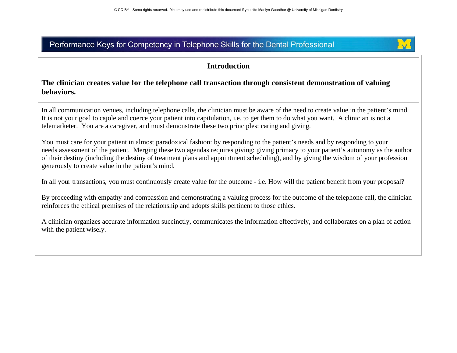

## **Introduction**

#### **The clinician creates value for the telephone call transaction through consistent demonstration of valuing behaviors.**

In all communication venues, including telephone calls, the clinician must be aware of the need to create value in the patient's mind. It is not your goal to cajole and coerce your patient into capitulation, i.e. to get them to do what you want. A clinician is not a telemarketer. You are a caregiver, and must demonstrate these two principles: caring and giving.

You must care for your patient in almost paradoxical fashion: by responding to the patient's needs and by responding to your needs assessment of the patient. Merging these two agendas requires giving: giving primacy to your patient's autonomy as the author of their destiny (including the destiny of treatment plans and appointment scheduling), and by giving the wisdom of your profession generously to create value in the patient's mind.

In all your transactions, you must continuously create value for the outcome - i.e. How will the patient benefit from your proposal?

By proceeding with empathy and compassion and demonstrating a valuing process for the outcome of the telephone call, the clinician reinforces the ethical premises of the relationship and adopts skills pertinent to those ethics.

A clinician organizes accurate information succinctly, communicates the information effectively, and collaborates on a plan of action with the patient wisely.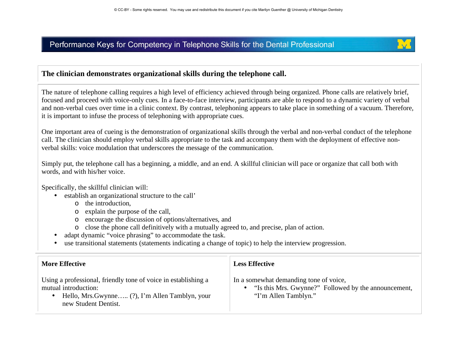

## **The clinician demonstrates organizational skills during the telephone call.**

The nature of telephone calling requires a high level of efficiency achieved through being organized. Phone calls are relatively brief, focused and proceed with voice-only cues. In a face-to-face interview, participants are able to respond to a dynamic variety of verbal and non-verbal cues over time in a clinic context. By contrast, telephoning appears to take place in something of a vacuum. Therefore, it is important to infuse the process of telephoning with appropriate cues.

One important area of cueing is the demonstration of organizational skills through the verbal and non-verbal conduct of the telephone call. The clinician should employ verbal skills appropriate to the task and accompany them with the deployment of effective nonverbal skills: voice modulation that underscores the message of the communication.

Simply put, the telephone call has a beginning, a middle, and an end. A skillful clinician will pace or organize that call both with words, and with his/her voice.

Specifically, the skillful clinician will:

- establish an organizational structure to the call'
	- <sup>o</sup> the introduction,
	- <sup>o</sup> explain the purpose of the call,
	- <sup>o</sup> encourage the discussion of options/alternatives, and
	- <sup>o</sup> close the phone call definitively with a mutually agreed to, and precise, plan of action.
- •adapt dynamic "voice phrasing" to accommodate the task.
- •use transitional statements (statements indicating a change of topic) to help the interview progression.

| <b>More Effective</b>                                          | <b>Less Effective</b>                                |
|----------------------------------------------------------------|------------------------------------------------------|
| Using a professional, friendly tone of voice in establishing a | In a somewhat demanding tone of voice,               |
| mutual introduction:                                           | "Is this Mrs. Gwynne?" Followed by the announcement, |
| Hello, Mrs. Gwynne (?), I'm Allen Tamblyn, your                | $\bullet$                                            |
| new Student Dentist.                                           | "I'm Allen Tamblyn."                                 |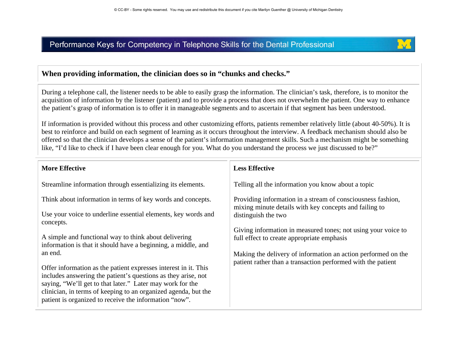

#### **When providing information, the clinician does so in "chunks and checks."**

During a telephone call, the listener needs to be able to easily grasp the information. The clinician's task, therefore, is to monitor the acquisition of information by the listener (patient) and to provide a process that does not overwhelm the patient. One way to enhance the patient's grasp of information is to offer it in manageable segments and to ascertain if that segment has been understood.

If information is provided without this process and other customizing efforts, patients remember relatively little (about 40-50%). It is best to reinforce and build on each segment of learning as it occurs throughout the interview. A feedback mechanism should also be offered so that the clinician develops a sense of the patient's information management skills. Such a mechanism might be something like, "I'd like to check if I have been clear enough for you. What do you understand the process we just discussed to be?"

| <b>More Effective</b>                                                                                                                                                                                                                                                                                                     | <b>Less Effective</b>                                                                                                         |
|---------------------------------------------------------------------------------------------------------------------------------------------------------------------------------------------------------------------------------------------------------------------------------------------------------------------------|-------------------------------------------------------------------------------------------------------------------------------|
| Streamline information through essentializing its elements.                                                                                                                                                                                                                                                               | Telling all the information you know about a topic                                                                            |
| Think about information in terms of key words and concepts.                                                                                                                                                                                                                                                               | Providing information in a stream of consciousness fashion,<br>mixing minute details with key concepts and failing to         |
| Use your voice to underline essential elements, key words and<br>concepts.                                                                                                                                                                                                                                                | distinguish the two                                                                                                           |
| A simple and functional way to think about delivering<br>information is that it should have a beginning, a middle, and                                                                                                                                                                                                    | Giving information in measured tones; not using your voice to<br>full effect to create appropriate emphasis                   |
| an end.                                                                                                                                                                                                                                                                                                                   | Making the delivery of information an action performed on the<br>patient rather than a transaction performed with the patient |
| Offer information as the patient expresses interest in it. This<br>includes answering the patient's questions as they arise, not<br>saying, "We'll get to that later." Later may work for the<br>clinician, in terms of keeping to an organized agenda, but the<br>patient is organized to receive the information "now". |                                                                                                                               |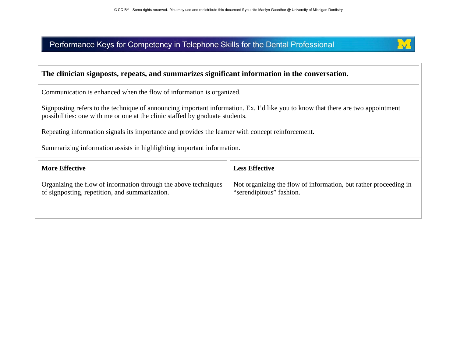

#### **The clinician signposts, repeats, and summarizes significant information in the conversation.**

Communication is enhanced when the flow of information is organized.

Signposting refers to the technique of announcing important information. Ex. I'd like you to know that there are two appointment possibilities: one with me or one at the clinic staffed by graduate students.

Repeating information signals its importance and provides the learner with concept reinforcement.

Summarizing information assists in highlighting important information.

| <b>More Effective</b>                                           | <b>Less Effective</b>                                            |
|-----------------------------------------------------------------|------------------------------------------------------------------|
| Organizing the flow of information through the above techniques | Not organizing the flow of information, but rather proceeding in |
| of signposting, repetition, and summarization.                  | "serendipitous" fashion.                                         |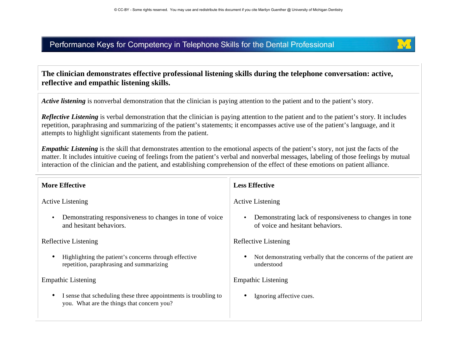

## **The clinician demonstrates effective professional listening skills during the telephone conversation: active, reflective and empathic listening skills.**

*Active listening* is nonverbal demonstration that the clinician is paying attention to the patient and to the patient's story.

*Reflective Listening* is verbal demonstration that the clinician is paying attention to the patient and to the patient's story. It includes repetition, paraphrasing and summarizing of the patient's statements; it encompasses active use of the patient's language, and it attempts to highlight significant statements from the patient.

*Empathic Listening* is the skill that demonstrates attention to the emotional aspects of the patient's story, not just the facts of the matter. It includes intuitive cueing of feelings from the patient's verbal and nonverbal messages, labeling of those feelings by mutual interaction of the clinician and the patient, and establishing comprehension of the effect of these emotions on patient alliance.

| <b>More Effective</b>                                                                                          | <b>Less Effective</b>                                                                                    |
|----------------------------------------------------------------------------------------------------------------|----------------------------------------------------------------------------------------------------------|
| <b>Active Listening</b>                                                                                        | <b>Active Listening</b>                                                                                  |
| Demonstrating responsiveness to changes in tone of voice<br>and hesitant behaviors.                            | Demonstrating lack of responsiveness to changes in tone<br>$\bullet$<br>of voice and hesitant behaviors. |
| Reflective Listening                                                                                           | Reflective Listening                                                                                     |
| Highlighting the patient's concerns through effective<br>repetition, paraphrasing and summarizing              | Not demonstrating verbally that the concerns of the patient are<br>٠<br>understood                       |
| <b>Empathic Listening</b>                                                                                      | <b>Empathic Listening</b>                                                                                |
| I sense that scheduling these three appointments is troubling to<br>you. What are the things that concern you? | Ignoring affective cues.<br>٠                                                                            |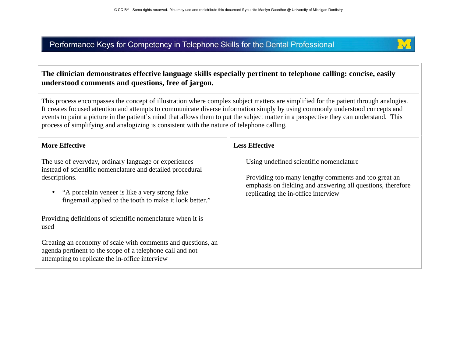

### **The clinician demonstrates effective language skills especially pertinent to telephone calling: concise, easily understood comments and questions, free of jargon.**

This process encompasses the concept of illustration where complex subject matters are simplified for the patient through analogies. It creates focused attention and attempts to communicate diverse information simply by using commonly understood concepts and events to paint a picture in the patient's mind that allows them to put the subject matter in a perspective they can understand. This process of simplifying and analogizing is consistent with the nature of telephone calling.

#### **More Effective**

The use of everyday, ordinary language or experiences instead of scientific nomenclature and detailed procedural descriptions.

• "A porcelain veneer is like a very strong fake fingernail applied to the tooth to make it look better."

Providing definitions of scientific nomenclature when it is used

Creating an economy of scale with comments and questions, an agenda pertinent to the scope of a telephone call and not attempting to replicate the in-office interview

#### **Less Effective**

Using undefined scientific nomenclature

Providing too many lengthy comments and too great an emphasis on fielding and answering all questions, therefore replicating the in-office interview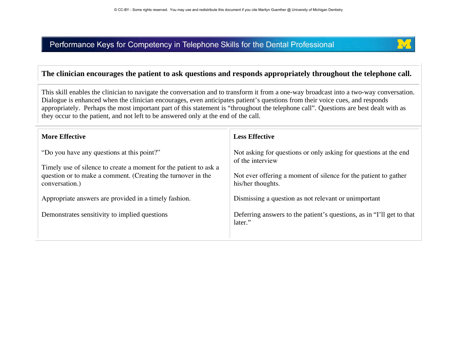

## **The clinician encourages the patient to ask questions and responds appropriately throughout the telephone call.**

This skill enables the clinician to navigate the conversation and to transform it from a one-way broadcast into a two-way conversation. Dialogue is enhanced when the clinician encourages, even anticipates patient's questions from their voice cues, and responds appropriately. Perhaps the most important part of this statement is "throughout the telephone call". Questions are best dealt with as they occur to the patient, and not left to be answered only at the end of the call.

| <b>More Effective</b>                                                                                                                                                                             | <b>Less Effective</b>                                                                                                                                                        |
|---------------------------------------------------------------------------------------------------------------------------------------------------------------------------------------------------|------------------------------------------------------------------------------------------------------------------------------------------------------------------------------|
| "Do you have any questions at this point?"<br>Timely use of silence to create a moment for the patient to ask a<br>question or to make a comment. (Creating the turnover in the<br>conversation.) | Not asking for questions or only asking for questions at the end<br>of the interview<br>Not ever offering a moment of silence for the patient to gather<br>his/her thoughts. |
| Appropriate answers are provided in a timely fashion.                                                                                                                                             | Dismissing a question as not relevant or unimportant                                                                                                                         |
| Demonstrates sensitivity to implied questions                                                                                                                                                     | Deferring answers to the patient's questions, as in "I'll get to that<br>later."                                                                                             |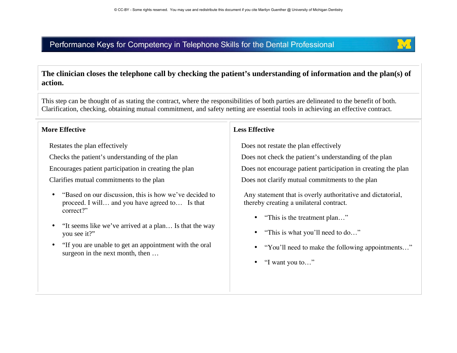

#### **The clinician closes the telephone call by checking the patient's understanding of information and the plan(s) of action.**

This step can be thought of as stating the contract, where the responsibilities of both parties are delineated to the benefit of both. Clarification, checking, obtaining mutual commitment, and safety netting are essential tools in achieving an effective contract.

#### **More Effective**

Restates the plan effectively

Checks the patient's understanding of the plan

Encourages patient participation in creating the plan

Clarifies mutual commitments to the plan

- • "Based on our discussion, this is how we've decided to proceed. I will… and you have agreed to… Is that correct?"
- • "It seems like we've arrived at a plan… Is that the way you see it?"
- "If you are unable to get an appointment with the oral surgeon in the next month, then …

#### **Less Effective**

Does not restate the plan effectively

Does not check the patient's understanding of the plan

Does not encourage patient participation in creating the plan

Does not clarify mutual commitments to the plan

Any statement that is overly authoritative and dictatorial, thereby creating a unilateral contract.

- •"This is the treatment plan…"
- •"This is what you'll need to do…"
- •"You'll need to make the following appointments…"
- $\bullet$ "I want you to…"